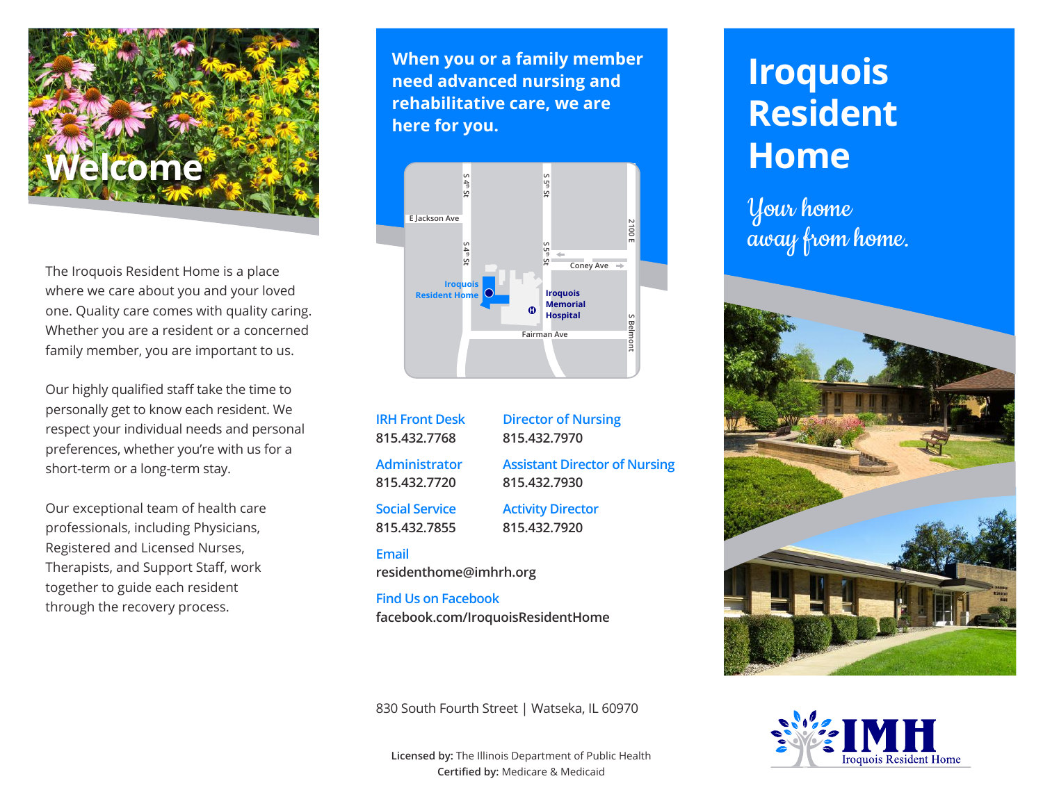

The Iroquois Resident Home is a place where we care about you and your loved one. Quality care comes with quality caring. Whether you are a resident or a concerned family member, you are important to us.

Our highly qualified staff take the time to personally get to know each resident. We respect your individual needs and personal preferences, whether you're with us for a short-term or a long-term stay.

Our exceptional team of health care professionals, including Physicians, Registered and Licensed Nurses, Therapists, and Support Staff, work together to guide each resident through the recovery process.

**When you or a family member need advanced nursing and rehabilitative care, we are here for you.**



**IRH Front Desk 815.432.7768 Administrator 815.432.7720**

**Assistant Director of Nursing 815.432.7930**

**Director of Nursing 815.432.7970**

**Social Service 815.432.7855 Activity Director 815.432.7920**

#### **Email**

**residenthome@imhrh.org**

**Find Us on Facebook facebook.com/IroquoisResidentHome**

830 South Fourth Street | Watseka, IL 60970

**Licensed by:** The Illinois Department of Public Health **Certified by:** Medicare & Medicaid

# **Iroquois Resident Home**

Your home away from home.